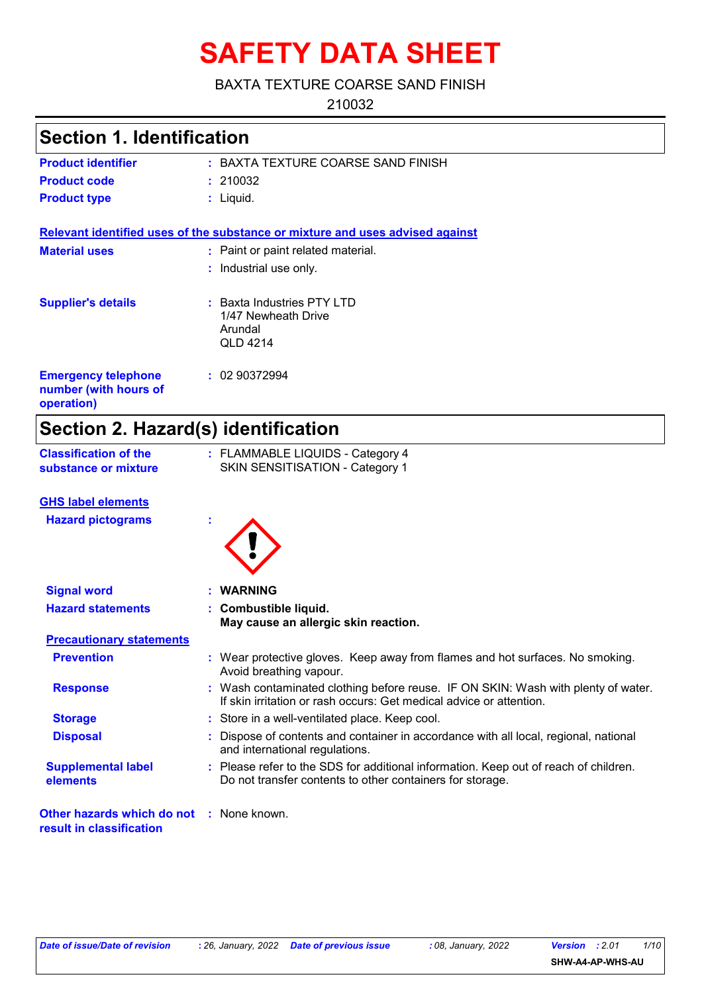# **SAFETY DATA SHEET**

### BAXTA TEXTURE COARSE SAND FINISH

210032

# **Section 1. Identification**

| <b>Product identifier</b> | : BAXTA TEXTURE COARSE SAND FINISH |
|---------------------------|------------------------------------|
| <b>Product code</b>       | : 210032                           |
| <b>Product type</b>       | : Liauid.                          |

**Relevant identified uses of the substance or mixture and uses advised against**

| <b>Material uses</b>                                              | : Paint or paint related material.<br>: Industrial use only.                      |  |
|-------------------------------------------------------------------|-----------------------------------------------------------------------------------|--|
| <b>Supplier's details</b>                                         | $:$ Baxta Industries PTY LTD<br>1/47 Newheath Drive<br>Arundal<br><b>QLD 4214</b> |  |
| <b>Emergency telephone</b><br>number (with hours of<br>operation) | : 0290372994                                                                      |  |

# **Section 2. Hazard(s) identification**

| <b>Classification of the</b> | : FLAMMABLE LIQUIDS - Category 4 |
|------------------------------|----------------------------------|
| substance or mixture         | SKIN SENSITISATION - Category 1  |

#### **GHS label elements**

| <b>Hazard pictograms</b> |  |
|--------------------------|--|
|                          |  |

| e |  |
|---|--|
|   |  |

| <b>Signal word</b>                                                          | : WARNING                                                                                                                                                |  |
|-----------------------------------------------------------------------------|----------------------------------------------------------------------------------------------------------------------------------------------------------|--|
| <b>Hazard statements</b>                                                    | : Combustible liquid.                                                                                                                                    |  |
|                                                                             | May cause an allergic skin reaction.                                                                                                                     |  |
| <b>Precautionary statements</b>                                             |                                                                                                                                                          |  |
| <b>Prevention</b>                                                           | : Wear protective gloves. Keep away from flames and hot surfaces. No smoking.<br>Avoid breathing vapour.                                                 |  |
| <b>Response</b>                                                             | : Wash contaminated clothing before reuse. IF ON SKIN: Wash with plenty of water.<br>If skin irritation or rash occurs: Get medical advice or attention. |  |
| <b>Storage</b>                                                              | : Store in a well-ventilated place. Keep cool.                                                                                                           |  |
| <b>Disposal</b>                                                             | : Dispose of contents and container in accordance with all local, regional, national<br>and international regulations.                                   |  |
| <b>Supplemental label</b><br>elements                                       | : Please refer to the SDS for additional information. Keep out of reach of children.<br>Do not transfer contents to other containers for storage.        |  |
| <b>Other hazards which do not : None known.</b><br>result in classification |                                                                                                                                                          |  |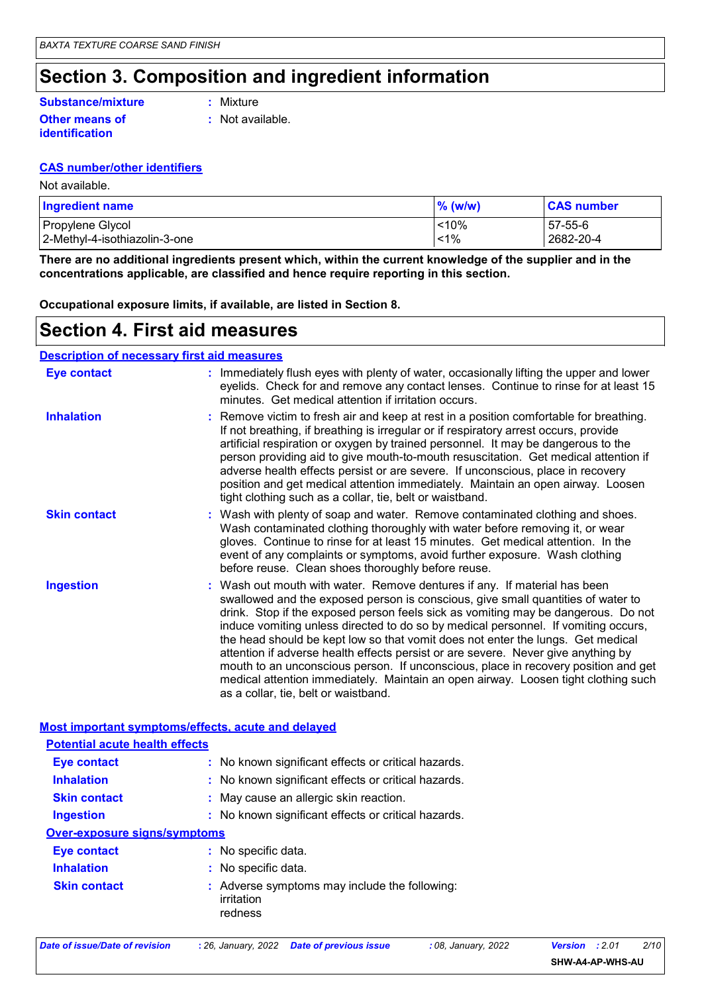# **Section 3. Composition and ingredient information**

### **Substance/mixture**

**Other means of identification**

**:** Mixture

**:** Not available.

#### **CAS number/other identifiers**

Not available.

| <b>Ingredient name</b>        | % (w/w) | <b>CAS number</b> |
|-------------------------------|---------|-------------------|
| Propylene Glycol              | < 10%   | 57-55-6           |
| 2-Methyl-4-isothiazolin-3-one | $< 1\%$ | 2682-20-4         |

**There are no additional ingredients present which, within the current knowledge of the supplier and in the concentrations applicable, are classified and hence require reporting in this section.**

**Occupational exposure limits, if available, are listed in Section 8.**

### **Section 4. First aid measures**

| <b>Description of necessary first aid measures</b> |                                                                                                                                                                                                                                                                                                                                                                                                                                                                                                                                                                                                                                                                                                                                      |
|----------------------------------------------------|--------------------------------------------------------------------------------------------------------------------------------------------------------------------------------------------------------------------------------------------------------------------------------------------------------------------------------------------------------------------------------------------------------------------------------------------------------------------------------------------------------------------------------------------------------------------------------------------------------------------------------------------------------------------------------------------------------------------------------------|
| <b>Eye contact</b>                                 | : Immediately flush eyes with plenty of water, occasionally lifting the upper and lower<br>eyelids. Check for and remove any contact lenses. Continue to rinse for at least 15<br>minutes. Get medical attention if irritation occurs.                                                                                                                                                                                                                                                                                                                                                                                                                                                                                               |
| <b>Inhalation</b>                                  | : Remove victim to fresh air and keep at rest in a position comfortable for breathing.<br>If not breathing, if breathing is irregular or if respiratory arrest occurs, provide<br>artificial respiration or oxygen by trained personnel. It may be dangerous to the<br>person providing aid to give mouth-to-mouth resuscitation. Get medical attention if<br>adverse health effects persist or are severe. If unconscious, place in recovery<br>position and get medical attention immediately. Maintain an open airway. Loosen<br>tight clothing such as a collar, tie, belt or waistband.                                                                                                                                         |
| <b>Skin contact</b>                                | : Wash with plenty of soap and water. Remove contaminated clothing and shoes.<br>Wash contaminated clothing thoroughly with water before removing it, or wear<br>gloves. Continue to rinse for at least 15 minutes. Get medical attention. In the<br>event of any complaints or symptoms, avoid further exposure. Wash clothing<br>before reuse. Clean shoes thoroughly before reuse.                                                                                                                                                                                                                                                                                                                                                |
| <b>Ingestion</b>                                   | : Wash out mouth with water. Remove dentures if any. If material has been<br>swallowed and the exposed person is conscious, give small quantities of water to<br>drink. Stop if the exposed person feels sick as vomiting may be dangerous. Do not<br>induce vomiting unless directed to do so by medical personnel. If vomiting occurs,<br>the head should be kept low so that vomit does not enter the lungs. Get medical<br>attention if adverse health effects persist or are severe. Never give anything by<br>mouth to an unconscious person. If unconscious, place in recovery position and get<br>medical attention immediately. Maintain an open airway. Loosen tight clothing such<br>as a collar, tie, belt or waistband. |
| Most important symptoms/effects, acute and delayed |                                                                                                                                                                                                                                                                                                                                                                                                                                                                                                                                                                                                                                                                                                                                      |
| <b>Potential acute health effects</b>              |                                                                                                                                                                                                                                                                                                                                                                                                                                                                                                                                                                                                                                                                                                                                      |
| <b>Eye contact</b>                                 | : No known significant effects or critical hazards.                                                                                                                                                                                                                                                                                                                                                                                                                                                                                                                                                                                                                                                                                  |
| <b>Inhalation</b>                                  | : No known significant effects or critical hazards.                                                                                                                                                                                                                                                                                                                                                                                                                                                                                                                                                                                                                                                                                  |
| <b>Skin contact</b>                                | May cause an allergic skin reaction.                                                                                                                                                                                                                                                                                                                                                                                                                                                                                                                                                                                                                                                                                                 |
| <b>Ingestion</b>                                   | : No known significant effects or critical hazards.                                                                                                                                                                                                                                                                                                                                                                                                                                                                                                                                                                                                                                                                                  |
| <b>Over-exposure signs/symptoms</b>                |                                                                                                                                                                                                                                                                                                                                                                                                                                                                                                                                                                                                                                                                                                                                      |
| <b>Eye contact</b>                                 | : No specific data.                                                                                                                                                                                                                                                                                                                                                                                                                                                                                                                                                                                                                                                                                                                  |
| <b>Inhalation</b>                                  | : No specific data.                                                                                                                                                                                                                                                                                                                                                                                                                                                                                                                                                                                                                                                                                                                  |

**Skin contact** Adverse symptoms may include the following: **:** irritation redness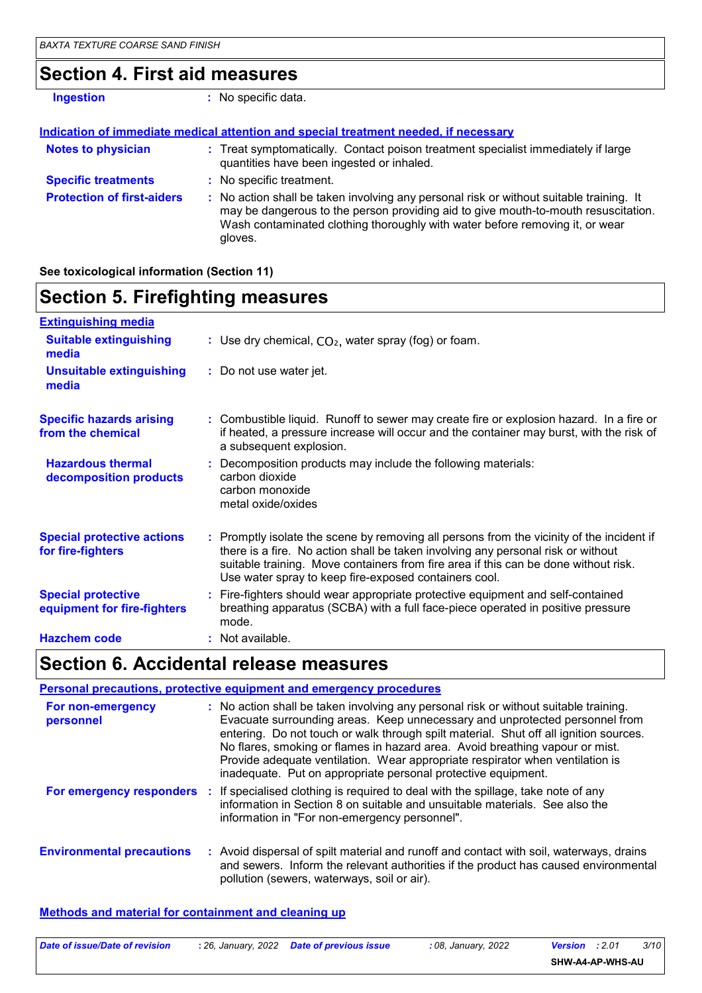# **Section 4. First aid measures**

| <b>Ingestion</b>                  | : No specific data.                                                                                                                                                                                                                                                      |
|-----------------------------------|--------------------------------------------------------------------------------------------------------------------------------------------------------------------------------------------------------------------------------------------------------------------------|
|                                   | Indication of immediate medical attention and special treatment needed, if necessary                                                                                                                                                                                     |
| <b>Notes to physician</b>         | : Treat symptomatically. Contact poison treatment specialist immediately if large<br>quantities have been ingested or inhaled.                                                                                                                                           |
| <b>Specific treatments</b>        | : No specific treatment.                                                                                                                                                                                                                                                 |
| <b>Protection of first-aiders</b> | : No action shall be taken involving any personal risk or without suitable training. It<br>may be dangerous to the person providing aid to give mouth-to-mouth resuscitation.<br>Wash contaminated clothing thoroughly with water before removing it, or wear<br>gloves. |

**See toxicological information (Section 11)**

# **Section 5. Firefighting measures**

| <b>Extinguishing media</b>                               |                                                                                                                                                                                                                                                                                                                               |
|----------------------------------------------------------|-------------------------------------------------------------------------------------------------------------------------------------------------------------------------------------------------------------------------------------------------------------------------------------------------------------------------------|
| <b>Suitable extinguishing</b><br>media                   | : Use dry chemical, $CO2$ , water spray (fog) or foam.                                                                                                                                                                                                                                                                        |
| <b>Unsuitable extinguishing</b><br>media                 | : Do not use water jet.                                                                                                                                                                                                                                                                                                       |
| <b>Specific hazards arising</b><br>from the chemical     | : Combustible liquid. Runoff to sewer may create fire or explosion hazard. In a fire or<br>if heated, a pressure increase will occur and the container may burst, with the risk of<br>a subsequent explosion.                                                                                                                 |
| <b>Hazardous thermal</b><br>decomposition products       | : Decomposition products may include the following materials:<br>carbon dioxide<br>carbon monoxide<br>metal oxide/oxides                                                                                                                                                                                                      |
| <b>Special protective actions</b><br>for fire-fighters   | : Promptly isolate the scene by removing all persons from the vicinity of the incident if<br>there is a fire. No action shall be taken involving any personal risk or without<br>suitable training. Move containers from fire area if this can be done without risk.<br>Use water spray to keep fire-exposed containers cool. |
| <b>Special protective</b><br>equipment for fire-fighters | : Fire-fighters should wear appropriate protective equipment and self-contained<br>breathing apparatus (SCBA) with a full face-piece operated in positive pressure<br>mode.                                                                                                                                                   |
| <b>Hazchem code</b>                                      | : Not available.                                                                                                                                                                                                                                                                                                              |

# **Section 6. Accidental release measures**

|                                  | Personal precautions, protective equipment and emergency procedures                                                                                                                                                                                                                                                                                                                                                                                                                            |
|----------------------------------|------------------------------------------------------------------------------------------------------------------------------------------------------------------------------------------------------------------------------------------------------------------------------------------------------------------------------------------------------------------------------------------------------------------------------------------------------------------------------------------------|
| For non-emergency<br>personnel   | : No action shall be taken involving any personal risk or without suitable training.<br>Evacuate surrounding areas. Keep unnecessary and unprotected personnel from<br>entering. Do not touch or walk through spilt material. Shut off all ignition sources.<br>No flares, smoking or flames in hazard area. Avoid breathing vapour or mist.<br>Provide adequate ventilation. Wear appropriate respirator when ventilation is<br>inadequate. Put on appropriate personal protective equipment. |
|                                  | For emergency responders : If specialised clothing is required to deal with the spillage, take note of any<br>information in Section 8 on suitable and unsuitable materials. See also the<br>information in "For non-emergency personnel".                                                                                                                                                                                                                                                     |
| <b>Environmental precautions</b> | : Avoid dispersal of spilt material and runoff and contact with soil, waterways, drains<br>and sewers. Inform the relevant authorities if the product has caused environmental<br>pollution (sewers, waterways, soil or air).                                                                                                                                                                                                                                                                  |

#### **Methods and material for containment and cleaning up**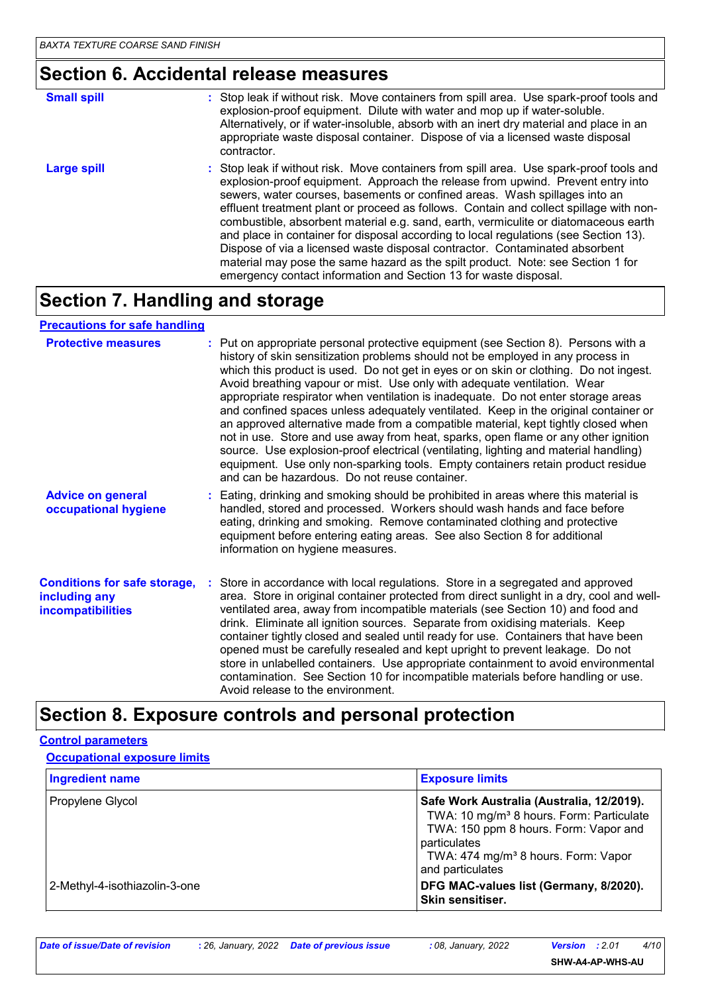# **Section 6. Accidental release measures**

| <b>Small spill</b> | : Stop leak if without risk. Move containers from spill area. Use spark-proof tools and                                                                                                                                                                                                                                                                                                                                                                                                                                                                                                                                                                                                                                                                                 |
|--------------------|-------------------------------------------------------------------------------------------------------------------------------------------------------------------------------------------------------------------------------------------------------------------------------------------------------------------------------------------------------------------------------------------------------------------------------------------------------------------------------------------------------------------------------------------------------------------------------------------------------------------------------------------------------------------------------------------------------------------------------------------------------------------------|
|                    | explosion-proof equipment. Dilute with water and mop up if water-soluble.<br>Alternatively, or if water-insoluble, absorb with an inert dry material and place in an<br>appropriate waste disposal container. Dispose of via a licensed waste disposal<br>contractor.                                                                                                                                                                                                                                                                                                                                                                                                                                                                                                   |
| <b>Large spill</b> | : Stop leak if without risk. Move containers from spill area. Use spark-proof tools and<br>explosion-proof equipment. Approach the release from upwind. Prevent entry into<br>sewers, water courses, basements or confined areas. Wash spillages into an<br>effluent treatment plant or proceed as follows. Contain and collect spillage with non-<br>combustible, absorbent material e.g. sand, earth, vermiculite or diatomaceous earth<br>and place in container for disposal according to local regulations (see Section 13).<br>Dispose of via a licensed waste disposal contractor. Contaminated absorbent<br>material may pose the same hazard as the spilt product. Note: see Section 1 for<br>emergency contact information and Section 13 for waste disposal. |

# **Section 7. Handling and storage**

#### **Precautions for safe handling**

| <b>Protective measures</b>                                                       | : Put on appropriate personal protective equipment (see Section 8). Persons with a<br>history of skin sensitization problems should not be employed in any process in<br>which this product is used. Do not get in eyes or on skin or clothing. Do not ingest.<br>Avoid breathing vapour or mist. Use only with adequate ventilation. Wear<br>appropriate respirator when ventilation is inadequate. Do not enter storage areas<br>and confined spaces unless adequately ventilated. Keep in the original container or<br>an approved alternative made from a compatible material, kept tightly closed when<br>not in use. Store and use away from heat, sparks, open flame or any other ignition<br>source. Use explosion-proof electrical (ventilating, lighting and material handling)<br>equipment. Use only non-sparking tools. Empty containers retain product residue<br>and can be hazardous. Do not reuse container. |
|----------------------------------------------------------------------------------|-------------------------------------------------------------------------------------------------------------------------------------------------------------------------------------------------------------------------------------------------------------------------------------------------------------------------------------------------------------------------------------------------------------------------------------------------------------------------------------------------------------------------------------------------------------------------------------------------------------------------------------------------------------------------------------------------------------------------------------------------------------------------------------------------------------------------------------------------------------------------------------------------------------------------------|
| <b>Advice on general</b><br>occupational hygiene                                 | : Eating, drinking and smoking should be prohibited in areas where this material is<br>handled, stored and processed. Workers should wash hands and face before<br>eating, drinking and smoking. Remove contaminated clothing and protective<br>equipment before entering eating areas. See also Section 8 for additional<br>information on hygiene measures.                                                                                                                                                                                                                                                                                                                                                                                                                                                                                                                                                                 |
| <b>Conditions for safe storage,</b><br>including any<br><b>incompatibilities</b> | : Store in accordance with local regulations. Store in a segregated and approved<br>area. Store in original container protected from direct sunlight in a dry, cool and well-<br>ventilated area, away from incompatible materials (see Section 10) and food and<br>drink. Eliminate all ignition sources. Separate from oxidising materials. Keep<br>container tightly closed and sealed until ready for use. Containers that have been<br>opened must be carefully resealed and kept upright to prevent leakage. Do not<br>store in unlabelled containers. Use appropriate containment to avoid environmental<br>contamination. See Section 10 for incompatible materials before handling or use.<br>Avoid release to the environment.                                                                                                                                                                                      |

### **Section 8. Exposure controls and personal protection**

### **Ingredient name Exposure limits Control parameters Occupational exposure limits**

| $\cdots$                      |                                                                     |
|-------------------------------|---------------------------------------------------------------------|
| <b>Propylene Glycol</b>       | Safe Work Australia (Australia, 12/2019).                           |
|                               | TWA: 10 mg/m <sup>3</sup> 8 hours. Form: Particulate                |
|                               | TWA: 150 ppm 8 hours. Form: Vapor and                               |
|                               | particulates                                                        |
|                               | TWA: 474 mg/m <sup>3</sup> 8 hours. Form: Vapor<br>and particulates |
| 2-Methyl-4-isothiazolin-3-one | DFG MAC-values list (Germany, 8/2020).                              |
|                               | <b>Skin sensitiser.</b>                                             |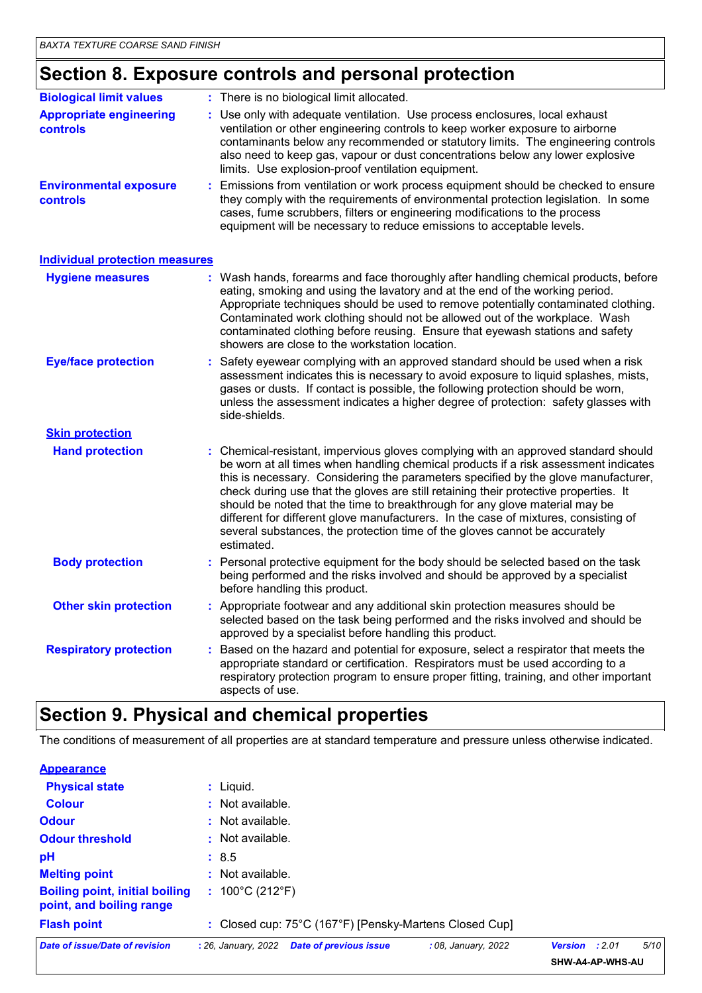# **Section 8. Exposure controls and personal protection**

| <b>Biological limit values</b>                   | : There is no biological limit allocated.                                                                                                                                                                                                                                                                                                                                                                                                                                                                                                                                                                                 |
|--------------------------------------------------|---------------------------------------------------------------------------------------------------------------------------------------------------------------------------------------------------------------------------------------------------------------------------------------------------------------------------------------------------------------------------------------------------------------------------------------------------------------------------------------------------------------------------------------------------------------------------------------------------------------------------|
| <b>Appropriate engineering</b><br>controls       | Use only with adequate ventilation. Use process enclosures, local exhaust<br>ventilation or other engineering controls to keep worker exposure to airborne<br>contaminants below any recommended or statutory limits. The engineering controls<br>also need to keep gas, vapour or dust concentrations below any lower explosive<br>limits. Use explosion-proof ventilation equipment.                                                                                                                                                                                                                                    |
| <b>Environmental exposure</b><br><b>controls</b> | Emissions from ventilation or work process equipment should be checked to ensure<br>they comply with the requirements of environmental protection legislation. In some<br>cases, fume scrubbers, filters or engineering modifications to the process<br>equipment will be necessary to reduce emissions to acceptable levels.                                                                                                                                                                                                                                                                                             |
| <b>Individual protection measures</b>            |                                                                                                                                                                                                                                                                                                                                                                                                                                                                                                                                                                                                                           |
| <b>Hygiene measures</b>                          | : Wash hands, forearms and face thoroughly after handling chemical products, before<br>eating, smoking and using the lavatory and at the end of the working period.<br>Appropriate techniques should be used to remove potentially contaminated clothing.<br>Contaminated work clothing should not be allowed out of the workplace. Wash<br>contaminated clothing before reusing. Ensure that eyewash stations and safety<br>showers are close to the workstation location.                                                                                                                                               |
| <b>Eye/face protection</b>                       | Safety eyewear complying with an approved standard should be used when a risk<br>assessment indicates this is necessary to avoid exposure to liquid splashes, mists,<br>gases or dusts. If contact is possible, the following protection should be worn,<br>unless the assessment indicates a higher degree of protection: safety glasses with<br>side-shields.                                                                                                                                                                                                                                                           |
| <b>Skin protection</b>                           |                                                                                                                                                                                                                                                                                                                                                                                                                                                                                                                                                                                                                           |
| <b>Hand protection</b>                           | : Chemical-resistant, impervious gloves complying with an approved standard should<br>be worn at all times when handling chemical products if a risk assessment indicates<br>this is necessary. Considering the parameters specified by the glove manufacturer,<br>check during use that the gloves are still retaining their protective properties. It<br>should be noted that the time to breakthrough for any glove material may be<br>different for different glove manufacturers. In the case of mixtures, consisting of<br>several substances, the protection time of the gloves cannot be accurately<br>estimated. |
| <b>Body protection</b>                           | : Personal protective equipment for the body should be selected based on the task<br>being performed and the risks involved and should be approved by a specialist<br>before handling this product.                                                                                                                                                                                                                                                                                                                                                                                                                       |
| <b>Other skin protection</b>                     | : Appropriate footwear and any additional skin protection measures should be<br>selected based on the task being performed and the risks involved and should be<br>approved by a specialist before handling this product.                                                                                                                                                                                                                                                                                                                                                                                                 |
| <b>Respiratory protection</b>                    | Based on the hazard and potential for exposure, select a respirator that meets the<br>appropriate standard or certification. Respirators must be used according to a<br>respiratory protection program to ensure proper fitting, training, and other important<br>aspects of use.                                                                                                                                                                                                                                                                                                                                         |

# **Section 9. Physical and chemical properties**

The conditions of measurement of all properties are at standard temperature and pressure unless otherwise indicated.

| Date of issue/Date of revision                                    | : 26, January, 2022<br><b>Date of previous issue</b><br>: 08, January, 2022 | 5/10<br>: 2.01<br>Version<br><b>CUM AA AD MUC AIL</b> |
|-------------------------------------------------------------------|-----------------------------------------------------------------------------|-------------------------------------------------------|
| <b>Flash point</b>                                                | : Closed cup: 75°C (167°F) [Pensky-Martens Closed Cup]                      |                                                       |
| <b>Boiling point, initial boiling</b><br>point, and boiling range | : $100^{\circ}$ C (212 $^{\circ}$ F)                                        |                                                       |
| <b>Melting point</b>                                              | : Not available.                                                            |                                                       |
| pH                                                                | : 8.5                                                                       |                                                       |
| <b>Odour threshold</b>                                            | $\cdot$ Not available.                                                      |                                                       |
| <b>Odour</b>                                                      | : Not available.                                                            |                                                       |
| <b>Colour</b>                                                     | : Not available.                                                            |                                                       |
| <b>Physical state</b>                                             | $:$ Liquid.                                                                 |                                                       |
| <b>Appearance</b>                                                 |                                                                             |                                                       |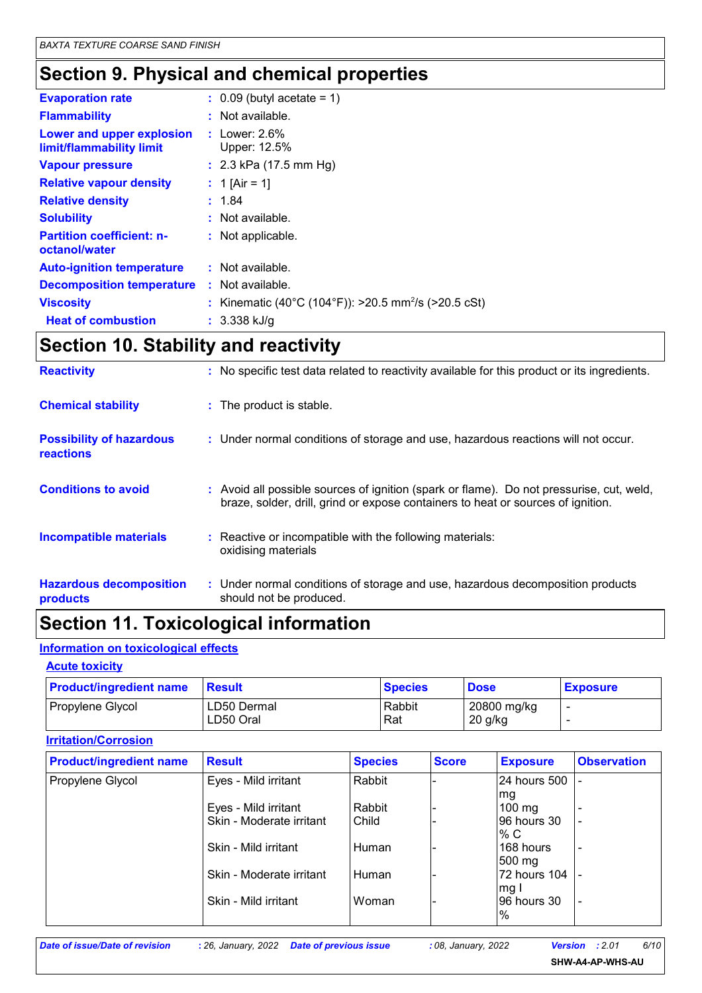# **Section 9. Physical and chemical properties**

| <b>Evaporation rate</b>                               | $\therefore$ 0.09 (butyl acetate = 1)                            |
|-------------------------------------------------------|------------------------------------------------------------------|
| <b>Flammability</b>                                   | $:$ Not available.                                               |
| Lower and upper explosion<br>limit/flammability limit | : Lower: $2.6\%$<br>Upper: 12.5%                                 |
| <b>Vapour pressure</b>                                | : $2.3$ kPa (17.5 mm Hg)                                         |
| <b>Relative vapour density</b>                        | : 1 [Air = 1]                                                    |
| <b>Relative density</b>                               | : 1.84                                                           |
| <b>Solubility</b>                                     | : Not available.                                                 |
| <b>Partition coefficient: n-</b><br>octanol/water     | : Not applicable.                                                |
| <b>Auto-ignition temperature</b>                      | $:$ Not available.                                               |
| <b>Decomposition temperature</b>                      | : Not available.                                                 |
| <b>Viscosity</b>                                      | : Kinematic (40°C (104°F)): >20.5 mm <sup>2</sup> /s (>20.5 cSt) |
| <b>Heat of combustion</b>                             | $: 3.338$ kJ/g                                                   |

# **Section 10. Stability and reactivity**

| <b>Reactivity</b>                            | : No specific test data related to reactivity available for this product or its ingredients.                                                                                 |
|----------------------------------------------|------------------------------------------------------------------------------------------------------------------------------------------------------------------------------|
| <b>Chemical stability</b>                    | : The product is stable.                                                                                                                                                     |
| <b>Possibility of hazardous</b><br>reactions | : Under normal conditions of storage and use, hazardous reactions will not occur.                                                                                            |
| <b>Conditions to avoid</b>                   | : Avoid all possible sources of ignition (spark or flame). Do not pressurise, cut, weld,<br>braze, solder, drill, grind or expose containers to heat or sources of ignition. |
| <b>Incompatible materials</b>                | : Reactive or incompatible with the following materials:<br>oxidising materials                                                                                              |
| <b>Hazardous decomposition</b><br>products   | : Under normal conditions of storage and use, hazardous decomposition products<br>should not be produced.                                                                    |

# **Section 11. Toxicological information**

#### **Information on toxicological effects**

#### **Acute toxicity**

| <b>Product/ingredient name</b> | <b>Result</b>            | <b>Species</b> | <b>Dose</b>            | <b>Exposure</b> |
|--------------------------------|--------------------------|----------------|------------------------|-----------------|
| Propylene Glycol               | LD50 Dermal<br>LD50 Oral | Rabbit<br>Rat  | 20800 mg/kg<br>20 g/kg |                 |

| <b>Irritation/Corrosion</b>    |                          |                |              |                                 |                          |  |  |
|--------------------------------|--------------------------|----------------|--------------|---------------------------------|--------------------------|--|--|
| <b>Product/ingredient name</b> | <b>Result</b>            | <b>Species</b> | <b>Score</b> | <b>Exposure</b>                 | <b>Observation</b>       |  |  |
| Propylene Glycol               | Eyes - Mild irritant     | Rabbit         |              | 24 hours 500<br> mg             |                          |  |  |
|                                | Eyes - Mild irritant     | Rabbit         |              | $100 \text{ mg}$                |                          |  |  |
|                                | Skin - Moderate irritant | Child          |              | 96 hours 30<br>% $C$            |                          |  |  |
|                                | Skin - Mild irritant     | Human          |              | 168 hours<br>$500 \text{ mg}$   |                          |  |  |
|                                | Skin - Moderate irritant | Human          |              | 72 hours 104<br>mg <sub>l</sub> |                          |  |  |
|                                | Skin - Mild irritant     | Woman          |              | 96 hours 30<br>$\frac{9}{6}$    | $\overline{\phantom{0}}$ |  |  |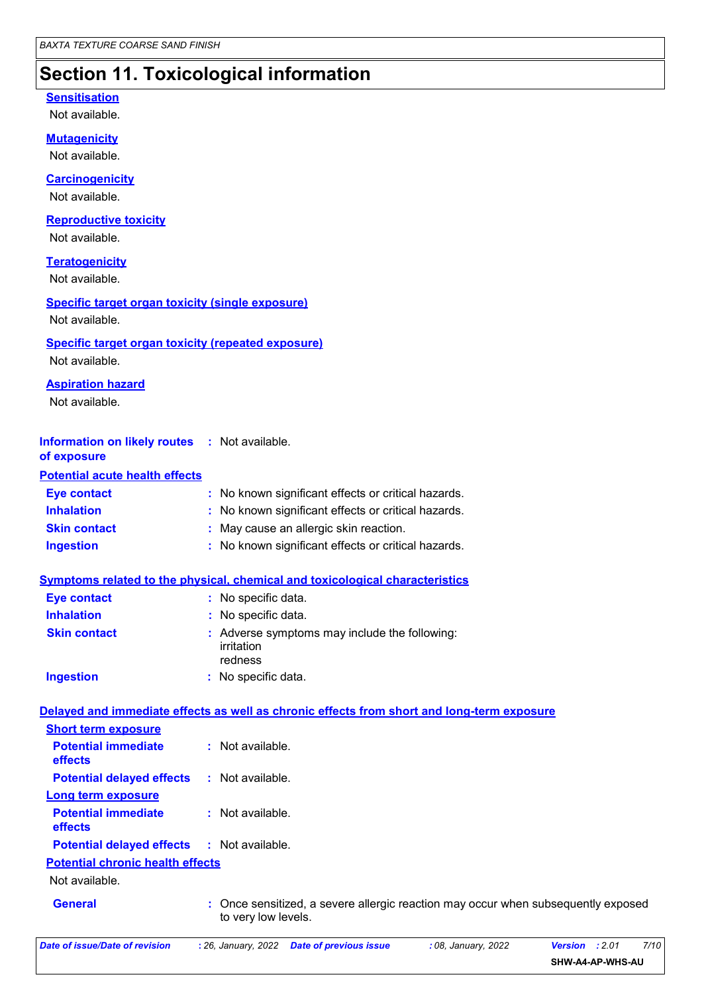# **Section 11. Toxicological information**

### Not available. **Carcinogenicity** Not available. **Mutagenicity** Not available. **Teratogenicity** Not available. **Reproductive toxicity** Not available. **Sensitisation** Not available. **Information on likely routes :** Not available. **of exposure Inhalation :** No known significant effects or critical hazards. **Ingestion :** No known significant effects or critical hazards. **Skin contact :** May cause an allergic skin reaction. **Eye contact :** No known significant effects or critical hazards. Once sensitized, a severe allergic reaction may occur when subsequently exposed to very low levels. **General : Symptoms related to the physical, chemical and toxicological characteristics Skin contact Ingestion Inhalation history of the Contract Service Service Service Service Service Service Service Service Service Service Service Service Service Service Service Service Service Service Service Service Service Service Service** No specific data. **:** Adverse symptoms may include the following: **:** irritation redness **Eye contact :** No specific data. **Potential chronic health effects Delayed and immediate effects as well as chronic effects from short and long-term exposure Specific target organ toxicity (single exposure) Specific target organ toxicity (repeated exposure)** Not available. Not available. **Aspiration hazard** Not available. **Potential acute health effects Potential immediate effects :** Not available. **Short term exposure Potential delayed effects :** Not available. **Potential immediate effects :** Not available. **Long term exposure Potential delayed effects :** Not available.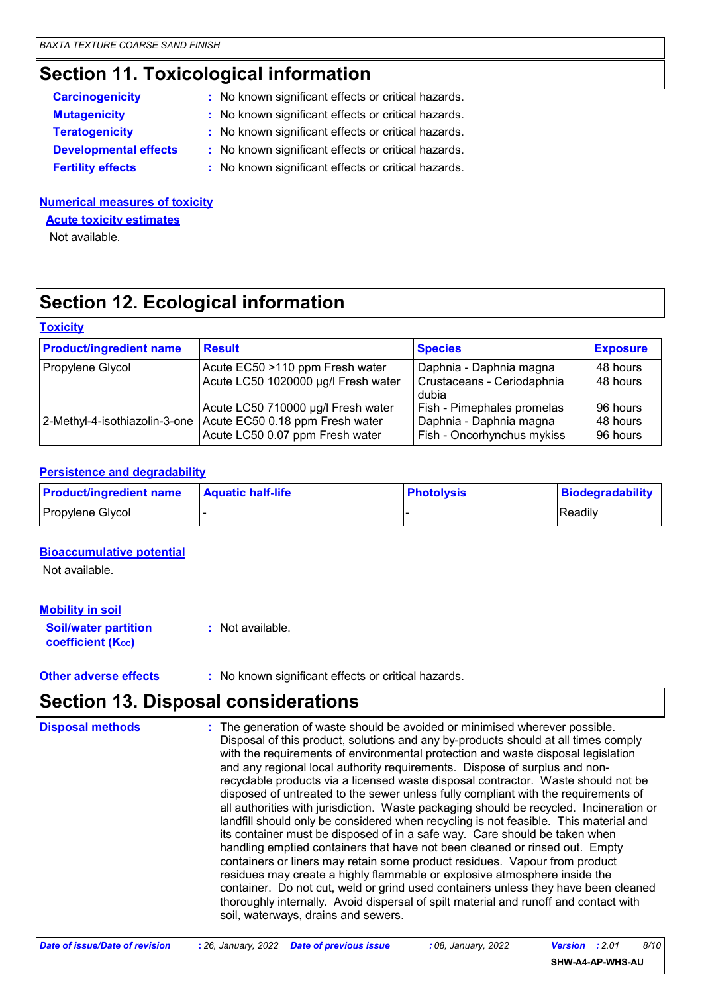# **Section 11. Toxicological information**

| <b>Carcinogenicity</b>       | : No known significant effects or critical hazards. |  |
|------------------------------|-----------------------------------------------------|--|
| <b>Mutagenicity</b>          | : No known significant effects or critical hazards. |  |
| <b>Teratogenicity</b>        | : No known significant effects or critical hazards. |  |
| <b>Developmental effects</b> | : No known significant effects or critical hazards. |  |
| <b>Fertility effects</b>     | : No known significant effects or critical hazards. |  |
|                              |                                                     |  |

#### **Numerical measures of toxicity**

**Acute toxicity estimates**

Not available.

# **Section 12. Ecological information**

| <b>Toxicity</b> |  |  |
|-----------------|--|--|

| <b>Product/ingredient name</b> | <b>Result</b>                                                                                                                          | <b>Species</b>                                                                      | <b>Exposure</b>                  |
|--------------------------------|----------------------------------------------------------------------------------------------------------------------------------------|-------------------------------------------------------------------------------------|----------------------------------|
| Propylene Glycol               | Acute EC50 >110 ppm Fresh water                                                                                                        | Daphnia - Daphnia magna                                                             | 48 hours                         |
|                                | Acute LC50 1020000 µg/l Fresh water                                                                                                    | Crustaceans - Ceriodaphnia<br>dubia                                                 | 48 hours                         |
|                                | Acute LC50 710000 µg/l Fresh water<br>2-Methyl-4-isothiazolin-3-one Acute EC50 0.18 ppm Fresh water<br>Acute LC50 0.07 ppm Fresh water | Fish - Pimephales promelas<br>Daphnia - Daphnia magna<br>Fish - Oncorhynchus mykiss | 96 hours<br>48 hours<br>96 hours |

### **Persistence and degradability**

| <b>Product/ingredient name</b> | <b>Aquatic half-life</b> | <b>Photolysis</b> | Biodegradability |
|--------------------------------|--------------------------|-------------------|------------------|
| Propylene Glycol               |                          |                   | Readily          |

#### **Bioaccumulative potential**

Not available.

### **Mobility in soil**

**Soil/water partition coefficient (KOC) :** Not available.

**Other adverse effects** : No known significant effects or critical hazards.

### **Section 13. Disposal considerations**

| <b>Disposal methods</b> | : The generation of waste should be avoided or minimised wherever possible.<br>Disposal of this product, solutions and any by-products should at all times comply<br>with the requirements of environmental protection and waste disposal legislation<br>and any regional local authority requirements. Dispose of surplus and non-<br>recyclable products via a licensed waste disposal contractor. Waste should not be<br>disposed of untreated to the sewer unless fully compliant with the requirements of<br>all authorities with jurisdiction. Waste packaging should be recycled. Incineration or<br>landfill should only be considered when recycling is not feasible. This material and<br>its container must be disposed of in a safe way. Care should be taken when<br>handling emptied containers that have not been cleaned or rinsed out. Empty<br>containers or liners may retain some product residues. Vapour from product<br>residues may create a highly flammable or explosive atmosphere inside the<br>container. Do not cut, weld or grind used containers unless they have been cleaned |
|-------------------------|----------------------------------------------------------------------------------------------------------------------------------------------------------------------------------------------------------------------------------------------------------------------------------------------------------------------------------------------------------------------------------------------------------------------------------------------------------------------------------------------------------------------------------------------------------------------------------------------------------------------------------------------------------------------------------------------------------------------------------------------------------------------------------------------------------------------------------------------------------------------------------------------------------------------------------------------------------------------------------------------------------------------------------------------------------------------------------------------------------------|
|                         | thoroughly internally. Avoid dispersal of spilt material and runoff and contact with<br>soil, waterways, drains and sewers.                                                                                                                                                                                                                                                                                                                                                                                                                                                                                                                                                                                                                                                                                                                                                                                                                                                                                                                                                                                    |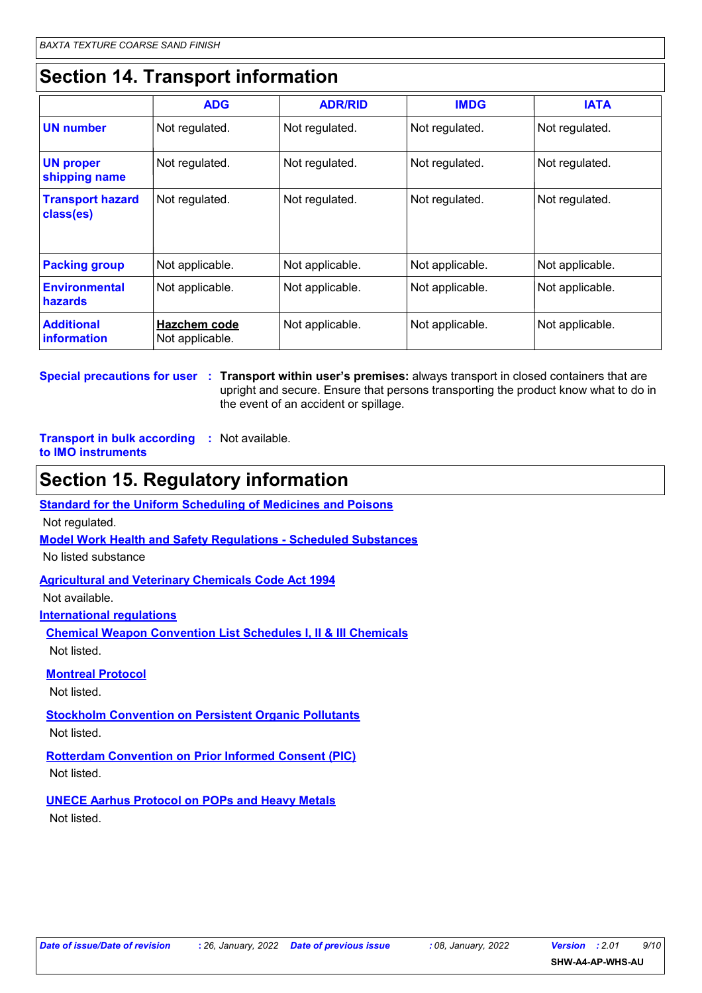# **Section 14. Transport information**

|                                        | <b>ADG</b>                             | <b>ADR/RID</b>  | <b>IMDG</b>     | <b>IATA</b>     |  |
|----------------------------------------|----------------------------------------|-----------------|-----------------|-----------------|--|
| <b>UN number</b>                       | Not regulated.                         | Not regulated.  | Not regulated.  | Not regulated.  |  |
| <b>UN proper</b><br>shipping name      | Not regulated.                         | Not regulated.  | Not regulated.  | Not regulated.  |  |
| <b>Transport hazard</b><br>class(es)   | Not regulated.                         | Not regulated.  | Not regulated.  | Not regulated.  |  |
| <b>Packing group</b>                   | Not applicable.                        | Not applicable. | Not applicable. | Not applicable. |  |
| <b>Environmental</b><br><b>hazards</b> | Not applicable.                        | Not applicable. | Not applicable. | Not applicable. |  |
| <b>Additional</b><br>information       | <b>Hazchem code</b><br>Not applicable. | Not applicable. | Not applicable. | Not applicable. |  |

**Special precautions for user Transport within user's premises:** always transport in closed containers that are **:** upright and secure. Ensure that persons transporting the product know what to do in the event of an accident or spillage.

**Transport in bulk according :** Not available. **to IMO instruments**

### **Section 15. Regulatory information**

**Standard for the Uniform Scheduling of Medicines and Poisons**

Not regulated.

**Model Work Health and Safety Regulations - Scheduled Substances**

No listed substance

**Agricultural and Veterinary Chemicals Code Act 1994**

Not available.

**International regulations**

**Chemical Weapon Convention List Schedules I, II & III Chemicals** Not listed.

**Montreal Protocol**

Not listed.

**Stockholm Convention on Persistent Organic Pollutants**

Not listed.

**Rotterdam Convention on Prior Informed Consent (PIC)** Not listed.

**UNECE Aarhus Protocol on POPs and Heavy Metals**

Not listed.